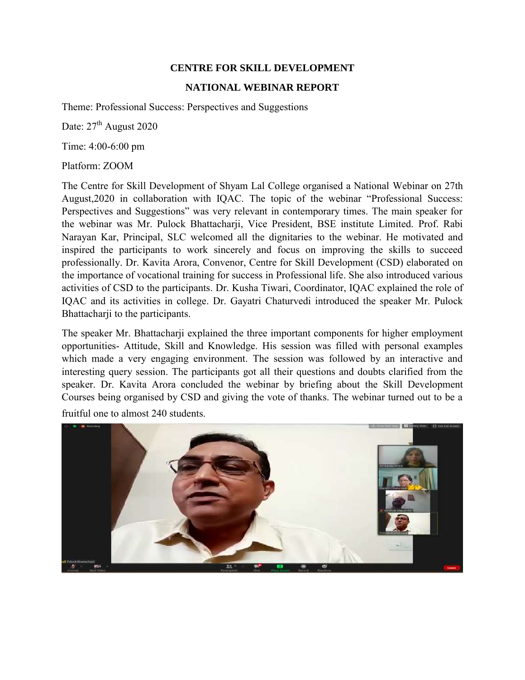## **CENTRE FOR SKILL DEVELOPMENT**

## **NATIONAL WEBINAR REPORT**

Theme: Professional Success: Perspectives and Suggestions

Date:  $27<sup>th</sup>$  August 2020

Time: 4:00-6:00 pm

Platform: ZOOM

The Centre for Skill Development of Shyam Lal College organised a National Webinar on 27th August,2020 in collaboration with IQAC. The topic of the webinar "Professional Success: Perspectives and Suggestions" was very relevant in contemporary times. The main speaker for the webinar was Mr. Pulock Bhattacharji, Vice President, BSE institute Limited. Prof. Rabi Narayan Kar, Principal, SLC welcomed all the dignitaries to the webinar. He motivated and inspired the participants to work sincerely and focus on improving the skills to succeed professionally. Dr. Kavita Arora, Convenor, Centre for Skill Development (CSD) elaborated on the importance of vocational training for success in Professional life. She also introduced various activities of CSD to the participants. Dr. Kusha Tiwari, Coordinator, IQAC explained the role of IQAC and its activities in college. Dr. Gayatri Chaturvedi introduced the speaker Mr. Pulock Bhattacharji to the participants.

The speaker Mr. Bhattacharji explained the three important components for higher employment opportunities- Attitude, Skill and Knowledge. His session was filled with personal examples which made a very engaging environment. The session was followed by an interactive and interesting query session. The participants got all their questions and doubts clarified from the speaker. Dr. Kavita Arora concluded the webinar by briefing about the Skill Development Courses being organised by CSD and giving the vote of thanks. The webinar turned out to be a fruitful one to almost 240 students.

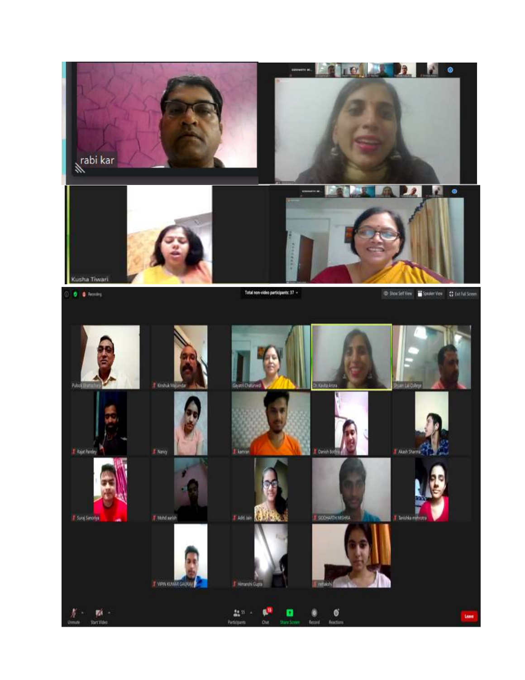